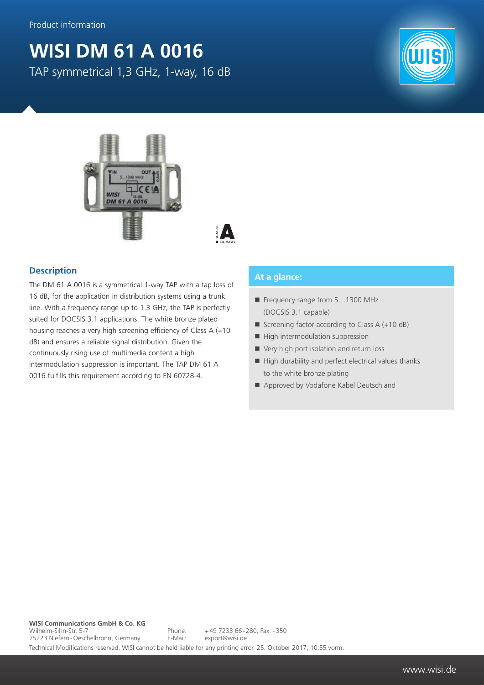## **WISI DM 61 A 0016** TAP symmetrical 1,3 GHz, 1-way, 16 dB





 $\blacktriangle$ 

## **Description**

The DM 61 A 0016 is a symmetrical 1-way TAP with a tap loss of 16 dB, for the application in distribution systems using a trunk line. With a frequency range up to 1.3 GHz, the TAP is perfectly suited for DOCSIS 3.1 applications. The white bronze plated housing reaches a very high screening efficiency of Class A (+10 dB) and ensures a reliable signal distribution. Given the continuously rising use of multimedia content a high intermodulation suppression is important. The TAP DM 61 A 0016 fulfills this requirement according to EN 60728-4.

## **At a glance:**

- Frequency range from 5...1300 MHz (DOCSIS 3.1 capable)
- Screening factor according to Class  $A (+10 dB)$
- $\blacksquare$  High intermodulation suppression
- Very high port isolation and return loss
- $\blacksquare$  High durability and perfect electrical values thanks to the white bronze plating
- Approved by Vodafone Kabel Deutschland